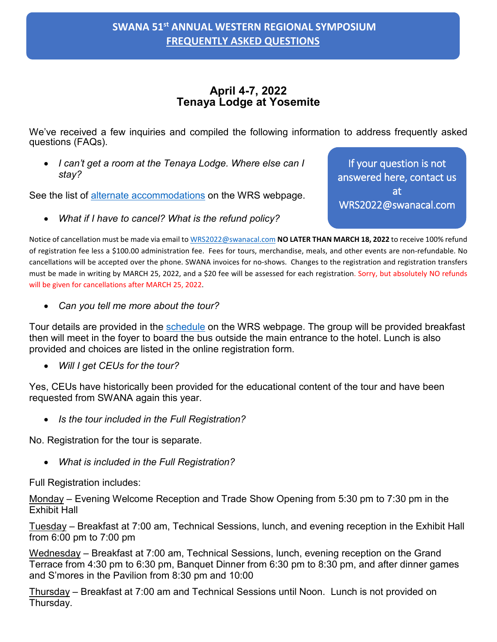## **April 4-7, 2022 Tenaya Lodge at Yosemite**

We've received a few inquiries and compiled the following information to address frequently asked questions (FAQs).

• *I can't get a room at the Tenaya Lodge. Where else can I stay?*

See the list of alternate accommodations on the WRS webpage.

• *What if I have to cancel? What is the refund policy?*

If your question is not answered here, contact us at WRS2022@swanacal.com

Notice of cancellation must be made via email t[o WRS2022@swanacal.com](mailto:WRS2022@swanacal.com) **NO LATER THAN MARCH 18, 2022** to receive 100% refund of registration fee less a \$100.00 administration fee. Fees for tours, merchandise, meals, and other events are non-refundable. No cancellations will be accepted over the phone. SWANA invoices for no-shows. Changes to the registration and registration transfers must be made in writing by MARCH 25, 2022, and a \$20 fee will be assessed for each registration. Sorry, but absolutely NO refunds will be given for cancellations after MARCH 25, 2022.

• *Can you tell me more about the tour?*

Tour details are provided in the [schedule](https://swanacal.com/events/2022symposium/conference-docs/17-technical-sessions-topics-and-presenters-1-31-22/file) on the WRS webpage. The group will be provided breakfast then will meet in the foyer to board the bus outside the main entrance to the hotel. Lunch is also provided and choices are listed in the online registration form.

• *Will I get CEUs for the tour?*

Yes, CEUs have historically been provided for the educational content of the tour and have been requested from SWANA again this year.

• *Is the tour included in the Full Registration?*

No. Registration for the tour is separate.

• *What is included in the Full Registration?*

Full Registration includes:

Monday – Evening Welcome Reception and Trade Show Opening from 5:30 pm to 7:30 pm in the Exhibit Hall

Tuesday – Breakfast at 7:00 am, Technical Sessions, lunch, and evening reception in the Exhibit Hall from 6:00 pm to 7:00 pm

Wednesday – Breakfast at 7:00 am, Technical Sessions, lunch, evening reception on the Grand Terrace from 4:30 pm to 6:30 pm, Banquet Dinner from 6:30 pm to 8:30 pm, and after dinner games and S'mores in the Pavilion from 8:30 pm and 10:00

Thursday – Breakfast at 7:00 am and Technical Sessions until Noon. Lunch is not provided on Thursday.